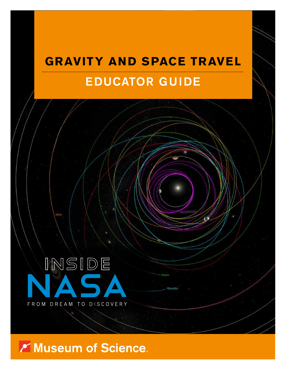# **GRAVITY AND SPACE TRAVEL** EDUCATOR GUIDE



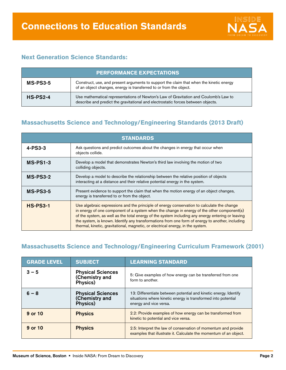

## **Next Generation Science Standards:**

| <b>PERFORMANCE EXPECTATIONS</b> |                                                                                                                                                                          |  |
|---------------------------------|--------------------------------------------------------------------------------------------------------------------------------------------------------------------------|--|
| $MS-PS3-5$                      | Construct, use, and present arguments to support the claim that when the kinetic energy<br>of an object changes, energy is transferred to or from the object.            |  |
| $HS-PS2-4$                      | Use mathematical representations of Newton's Law of Gravitation and Coulomb's Law to<br>describe and predict the gravitational and electrostatic forces between objects. |  |

## **Massachusetts Science and Technology/Engineering Standards (2013 Draft)**

| <b>STANDARDS</b> |                                                                                                                                                                                                                                                                                                                                                                                                                                                                                      |  |
|------------------|--------------------------------------------------------------------------------------------------------------------------------------------------------------------------------------------------------------------------------------------------------------------------------------------------------------------------------------------------------------------------------------------------------------------------------------------------------------------------------------|--|
| $4 - PS3 - 3$    | Ask questions and predict outcomes about the changes in energy that occur when<br>objects collide.                                                                                                                                                                                                                                                                                                                                                                                   |  |
| <b>MS-PS1-3</b>  | Develop a model that demonstrates Newton's third law involving the motion of two<br>colliding objects.                                                                                                                                                                                                                                                                                                                                                                               |  |
| $MS-PS3-2$       | Develop a model to describe the relationship between the relative position of objects<br>interacting at a distance and their relative potential energy in the system.                                                                                                                                                                                                                                                                                                                |  |
| <b>MS-PS3-5</b>  | Present evidence to support the claim that when the motion energy of an object changes,<br>energy is transferred to or from the object.                                                                                                                                                                                                                                                                                                                                              |  |
| <b>HS-PS3-1</b>  | Use algebraic expressions and the principle of energy conservation to calculate the change<br>in energy of one component of a system when the change in energy of the other component(s)<br>of the system, as well as the total energy of the system including any energy entering or leaving<br>the system, is known. Identify any transformations from one form of energy to another, including<br>thermal, kinetic, gravitational, magnetic, or electrical energy, in the system. |  |

## **Massachusetts Science and Technology/Engineering Curriculum Framework (2001)**

| <b>GRADE LEVEL</b> | <b>SUBJECT</b>                                         | <b>LEARNING STANDARD</b>                                                                                                                                    |
|--------------------|--------------------------------------------------------|-------------------------------------------------------------------------------------------------------------------------------------------------------------|
| $3 - 5$            | <b>Physical Sciences</b><br>(Chemistry and<br>Physics) | 5: Give examples of how energy can be transferred from one<br>form to another.                                                                              |
| $6 - 8$            | <b>Physical Sciences</b><br>(Chemistry and<br>Physics) | 13: Differentiate between potential and kinetic energy. Identify<br>situations where kinetic energy is transformed into potential<br>energy and vice versa. |
| 9 or 10            | <b>Physics</b>                                         | 2.2: Provide examples of how energy can be transformed from<br>kinetic to potential and vice versa.                                                         |
| 9 or 10            | <b>Physics</b>                                         | 2.5: Interpret the law of conservation of momentum and provide<br>examples that illustrate it. Calculate the momentum of an object.                         |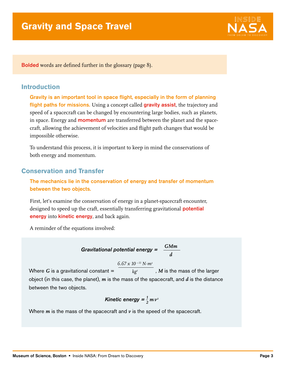

Bolded words are defined further in the glossary (page 8).

### **Introduction**

Gravity is an important tool in space flight, especially in the form of planning flight paths for missions. Using a concept called gravity assist, the trajectory and speed of a spacecraft can be changed by encountering large bodies, such as planets, in space. Energy and **momentum** are transferred between the planet and the spacecraft, allowing the achievement of velocities and flight path changes that would be impossible otherwise.

To understand this process, it is important to keep in mind the conservations of both energy and momentum.

## **Conservation and Transfer**

The mechanics lie in the conservation of energy and transfer of momentum between the two objects.

First, let's examine the conservation of energy in a planet-spacecraft encounter, designed to speed up the craft, essentially transferring gravitational **potential** energy into kinetic energy, and back again.

A reminder of the equations involved:

$$
Gravitational potential energy = \frac{GMm}{d}
$$

 $6.67 \times 10^{-11}$  N·m<sup>2</sup>

Where  $G$  is a gravitational constant  $=$  $kg<sup>2</sup>$ , *M* is the mass of the larger object (in this case, the planet), *m* is the mass of the spacecraft, and *d* is the distance between the two objects.

Kinetic energy 
$$
=\frac{1}{2}mv^2
$$

Where *m* is the mass of the spacecraft and *v* is the speed of the spacecraft.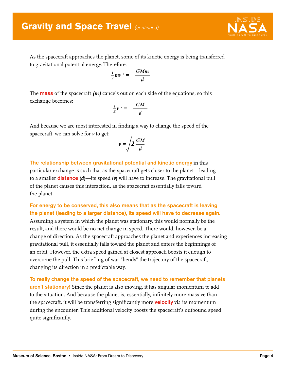## **Gravity and Space Travel (continued)**



As the spacecraft approaches the planet, some of its kinetic energy is being transferred to gravitational potential energy. Therefore:

$$
\frac{1}{2}mv^2 = \frac{GMm}{d}
$$

The mass of the spacecraft *(m)* cancels out on each side of the equations, so this exchange becomes:

$$
\frac{1}{2}\nu^2 = \frac{GM}{d}
$$

And because we are most interested in finding a way to change the speed of the spacecraft, we can solve for *v* to get:

$$
v = \sqrt{2 \frac{GM}{d}}
$$

The relationship between gravitational potential and kinetic energy in this particular exchange is such that as the spacecraft gets closer to the planet—leading to a smaller **distance**  $(d)$ —its speed  $(v)$  will have to increase. The gravitational pull of the planet causes this interaction, as the spacecraft essentially falls toward the planet.

## For energy to be conserved, this also means that as the spacecraft is leaving the planet (leading to a larger distance), its speed will have to decrease again. Assuming a system in which the planet was stationary, this would normally be the

result, and there would be no net change in speed. There would, however, be a change of direction. As the spacecraft approaches the planet and experiences increasing gravitational pull, it essentially falls toward the planet and enters the beginnings of an orbit. However, the extra speed gained at closest approach boosts it enough to overcome the pull. This brief tug-of-war "bends" the trajectory of the spacecraft, changing its direction in a predictable way.

To really change the speed of the spacecraft, we need to remember that planets aren't stationary! Since the planet is also moving, it has angular momentum to add to the situation. And because the planet is, essentially, infinitely more massive than the spacecraft, it will be transferring significantly more **velocity** via its momentum during the encounter. This additional velocity boosts the spacecraft's outbound speed quite significantly.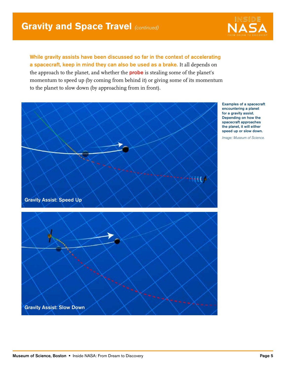

While gravity assists have been discussed so far in the context of accelerating a spacecraft, keep in mind they can also be used as a brake. It all depends on the approach to the planet, and whether the **probe** is stealing some of the planet's momentum to speed up (by coming from behind it) or giving some of its momentum to the planet to slow down (by approaching from in front).

> Examples of a spacecraft encountering a planet for a gravity assist. Depending on how the spacecraft approaches the planet, it will either speed up or slow down.

Image: Museum of Science.



Gravity Assist: Slow Down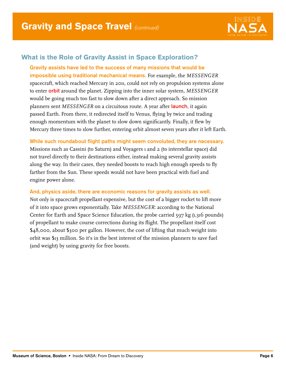

## **What is the Role of Gravity Assist in Space Exploration?**

Gravity assists have led to the success of many missions that would be impossible using traditional mechanical means. For example, the *MESSENGER* spacecraft, which reached Mercury in 2011, could not rely on propulsion systems alone to enter orbit around the planet. Zipping into the inner solar system, *MESSENGER* would be going much too fast to slow down after a direct approach. So mission planners sent *MESSENGER* on a circuitous route. A year after launch, it again passed Earth. From there, it redirected itself to Venus, flying by twice and trading enough momentum with the planet to slow down significantly. Finally, it flew by Mercury three times to slow further, entering orbit almost seven years after it left Earth.

While such roundabout flight paths might seem convoluted, they are necessary.

Missions such as Cassini (to Saturn) and Voyagers 1 and 2 (to interstellar space) did not travel directly to their destinations either, instead making several gravity assists along the way. In their cases, they needed boosts to reach high enough speeds to fly farther from the Sun. These speeds would not have been practical with fuel and engine power alone.

#### And, physics aside, there are economic reasons for gravity assists as well.

Not only is spacecraft propellant expensive, but the cost of a bigger rocket to lift more of it into space grows exponentially. Take *MESSENGER*: according to the National Center for Earth and Space Science Education, the probe carried 597 kg (1,316 pounds) of propellant to make course corrections during its flight. The propellant itself cost \$48,000, about \$300 per gallon. However, the cost of lifting that much weight into orbit was \$13 million. So it's in the best interest of the mission planners to save fuel (and weight) by using gravity for free boosts.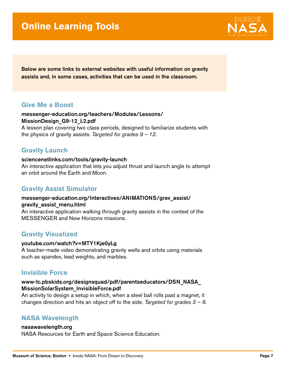# **Online Learning Tools**



Below are some links to external websites with useful information on gravity assists and, in some cases, activities that can be used in the classroom.

#### **Give Me a Boost**

#### [messenger-education.org/teachers/Modules/Lessons/](http://www.messenger-education.org/teachers/Modules/Lessons/MissionDesign_G9-12_L2.pdf) MissionDesign\_G9-12\_L2.pdf A lesson plan covering two class periods, designed to familiarize students with the physics of gravity assists. Targeted for grades  $9 - 12$ .

**Gravity Launch**

## [sciencenetlinks.com/tools/gravity-launch](www.sciencenetlinks.com/tools/gravity-launch)

An interactive application that lets you adjust thrust and launch angle to attempt an orbit around the Earth and Moon.

## **Gravity Assist Simulator**

#### [messenger-education.org/Interactives/ANIMATIONS/grav\\_assist/](http://www.messenger-education.org/Interactives/ANIMATIONS/grav_assist/gravity_assist_menu.html) gravity\_assist\_menu.html

An interactive application walking through gravity assists in the context of the MESSENGER and New Horizons missions.

## **Gravity Visualized**

#### [youtube.com/watch?v=MTY1Kje0yLg](www.youtube.com/watch?v=MTY1Kje0yLg)

A teacher-made video demonstrating gravity wells and orbits using materials such as spandex, lead weights, and marbles.

#### **Invisible Force**

#### [www-tc.pbskids.org/designsquad/pdf/parentseducators/DSN\\_NASA\\_](http://www-tc.pbskids.org/designsquad/pdf/parentseducators/DSN_NASA_MissionSolarSystem_InvisibleForce.pdf) MissionSolarSystem\_InvisibleForce.pdf

An activity to design a setup in which, when a steel ball rolls past a magnet, it changes direction and hits an object off to the side. Targeted for grades  $3 - 8$ .

## **NASA Wavelength**

#### [nasawavelength.org](www.nasawavelength.org)

NASA Resources for Earth and Space Science Education.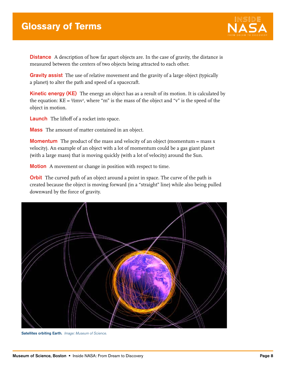

**Distance** A description of how far apart objects are. In the case of gravity, the distance is measured between the centers of two objects being attracted to each other.

**Gravity assist** The use of relative movement and the gravity of a large object (typically a planet) to alter the path and speed of a spacecraft.

**Kinetic energy (KE)** The energy an object has as a result of its motion. It is calculated by the equation:  $KE = \frac{1}{2}mv^2$ , where "m" is the mass of the object and "v" is the speed of the object in motion.

Launch The liftoff of a rocket into space.

**Mass** The amount of matter contained in an object.

**Momentum** The product of the mass and velocity of an object (momentum = mass x velocity). An example of an object with a lot of momentum could be a gas giant planet (with a large mass) that is moving quickly (with a lot of velocity) around the Sun.

**Motion** A movement or change in position with respect to time.

**Orbit** The curved path of an object around a point in space. The curve of the path is created because the object is moving forward (in a "straight" line) while also being pulled downward by the force of gravity.



Satellites orbiting Earth. Image: Museum of Science.